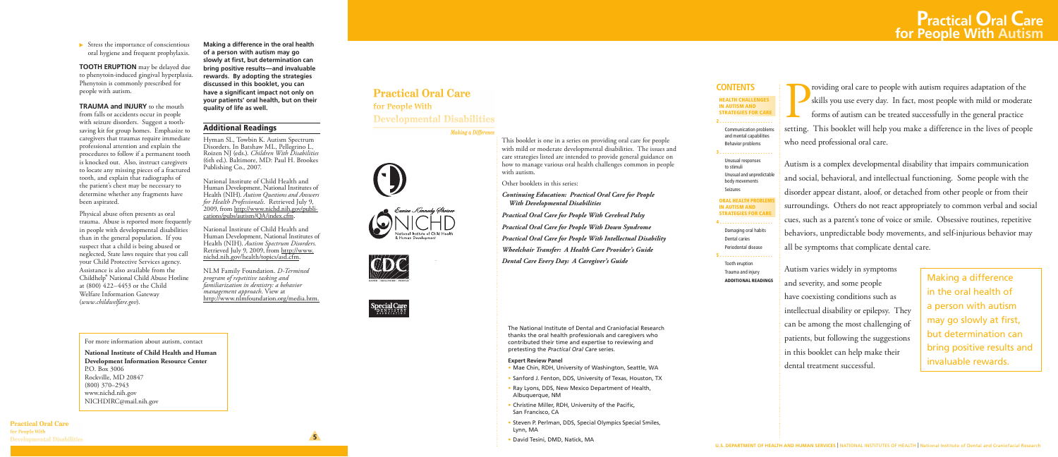# Practical Oral Care **for People with Autism**

### **contents**

#### Health Challenges IN autism and Strategies for Care

2 . . . . . . . . . . . . . . . . . . . . . Communication problems and mental capabilities Behavior problems

3 . . . . . . . . . . . . . . . . . . . . . Unusual responses to stimuli

> Unusual and unpredictable body movements

Seizures

#### Oral Health Problems IN autism and Strategies for Care

4 . . . . . . . . . . . . . . . . . . . . .

Damaging oral habits Dental caries Periodontal disease

5 . . . . . . . . . . . . . . . . . . . . .

Tooth eruption Trauma and injury Additional readings

Positing oral care to people with autism requires adaptation of the skills you use every day. In fact, most people with mild or moderate forms of autism can be treated successfully in the general practice setting. This boo roviding oral care to people with autism requires adaptation of the skills you use every day. In fact, most people with mild or moderate forms of autism can be treated successfully in the general practice who need professional oral care.

Autism is a complex developmental disability that impairs communication and social, behavioral, and intellectual functioning. Some people with the disorder appear distant, aloof, or detached from other people or from their surroundings. Others do not react appropriately to common verbal and social cues, such as a parent's tone of voice or smile. Obsessive routines, repetitive behaviors, unpredictable body movements, and self-injurious behavior may all be symptoms that complicate dental care.

Autism varies widely in symptoms and severity, and some people have coexisting conditions such as intellectual disability or epilepsy. They can be among the most challenging of patients, but following the suggestions in this booklet can help make their dental treatment successful.

Making a difference in the oral health of a person with autism may go slowly at first, but determination can bring positive results and invaluable rewards.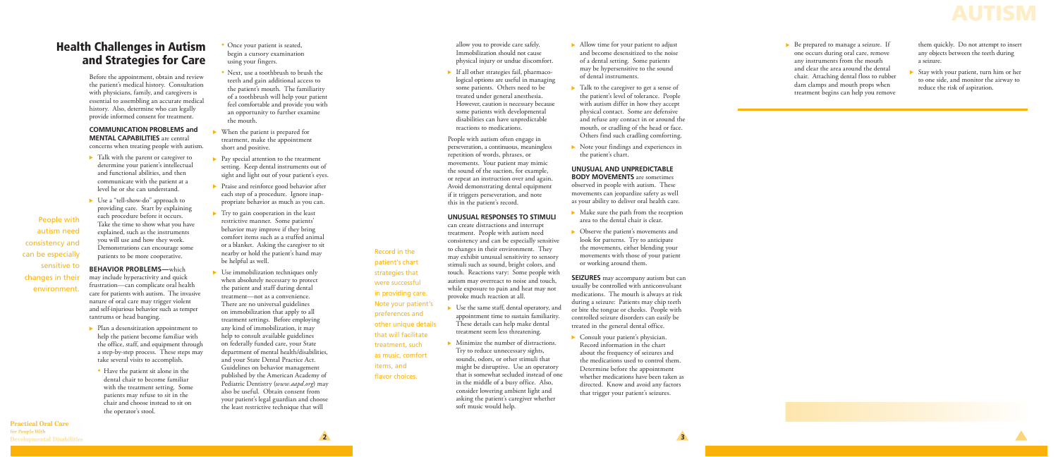## Health Challenges in Autism and Strategies for Care

Before the appointment, obtain and review the patient's medical history. Consultation with physicians, family, and caregivers is essential to assembling an accurate medical history. Also, determine who can legally provide informed consent for treatment.

### **Communication problems and MENTAL CAPABILITIES** are central

concerns when treating people with autism.

- ▶ Talk with the parent or caregiver to determine your patient's intellectual and functional abilities, and then communicate with the patient at a level he or she can understand.
- ▶ Use a "tell-show-do" approach to providing care. Start by explaining each procedure before it occurs. Take the time to show what you have explained, such as the instruments you will use and how they work. Demonstrations can encourage some patients to be more cooperative.

**Behavior problems—**which may include hyperactivity and quick frustration—can complicate oral health care for patients with autism. The invasive nature of oral care may trigger violent and self-injurious behavior such as temper tantrums or head banging.

- Plan a desensitization appointment to help the patient become familiar with the office, staff, and equipment through a step-by-step process. These steps may take several visits to accomplish.
	- Have the patient sit alone in the dental chair to become familiar with the treatment setting. Some patients may refuse to sit in the chair and choose instead to sit on the operator's stool.
- Once your patient is seated, begin a cursory examination using your fingers.
- Next, use a toothbrush to brush the teeth and gain additional access to the patient's mouth. The familiarity of a toothbrush will help your patient feel comfortable and provide you with an opportunity to further examine the mouth.
- When the patient is prepared for treatment, make the appointment short and positive.
- Pay special attention to the treatment setting. Keep dental instruments out of sight and light out of your patient's eyes.
- **Praise and reinforce good behavior after** each step of a procedure. Ignore inappropriate behavior as much as you can.
- $\triangleright$  Try to gain cooperation in the least restrictive manner. Some patients' behavior may improve if they bring comfort items such as a stuffed animal or a blanket. Asking the caregiver to sit nearby or hold the patient's hand may be helpful as well.
- Use immobilization techniques only when absolutely necessary to protect the patient and staff during dental treatment—not as a convenience. There are no universal guidelines on immobilization that apply to all treatment settings. Before employing any kind of immobilization, it may help to consult available guidelines on federally funded care, your State department of mental health/disabilities, and your State Dental Practice Act. Guidelines on behavior management published by the American Academy of Pediatric Dentistry (*www.aapd.org*) may also be useful. Obtain consent from your patient's legal guardian and choose the least restrictive technique that will

People with autism need consistency and can be especially sensitive to changes in their environment.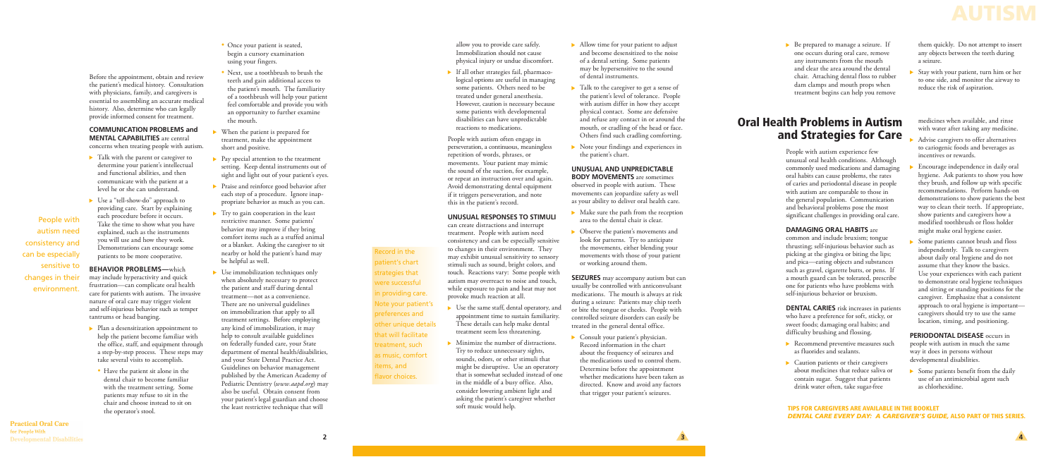allow you to provide care safely. Immobilization should not cause physical injury or undue discomfort.

If all other strategies fail, pharmacological options are useful in managing some patients. Others need to be treated under general anesthesia. However, caution is necessary because some patients with developmental disabilities can have unpredictable reactions to medications.

People with autism often engage in perseveration, a continuous, meaningless repetition of words, phrases, or movements. Your patient may mimic the sound of the suction, for example, or repeat an instruction over and again. Avoid demonstrating dental equipment if it triggers perseveration, and note this in the patient's record.

### **nusual responses to stimuli**

can create distractions and interrupt treatment. People with autism need consistency and can be especially sensitive to changes in their environment. They may exhibit unusual sensitivity to sensory stimuli such as sound, bright colors, and touch. Reactions vary: Some people with autism may overreact to noise and touch, while exposure to pain and heat may not provoke much reaction at all.

- Use the same staff, dental operatory, and appointment time to sustain familiarity. These details can help make dental treatment seem less threatening.
- Minimize the number of distractions. Try to reduce unnecessary sights, sounds, odors, or other stimuli that might be disruptive. Use an operatory that is somewhat secluded instead of one in the middle of a busy office. Also, consider lowering ambient light and asking the patient's caregiver whether soft music would help.
- $\triangleright$  Allow time for your patient to adjust and become desensitized to the noise of a dental setting. Some patients may be hypersensitive to the sound of dental instruments.
- ▶ Talk to the caregiver to get a sense of the patient's level of tolerance. People with autism differ in how they accept physical contact. Some are defensive and refuse any contact in or around the mouth, or cradling of the head or face. Others find such cradling comforting.
- Note your findings and experiences in the patient's chart.

### **Unusual and unpredictable**

**BODY MOVEMENTS** are sometimes observed in people with autism. These movements can jeopardize safety as well as your ability to deliver oral health care.

- Make sure the path from the reception area to the dental chair is clear.
- ▶ Observe the patient's movements and look for patterns. Try to anticipate the movements, either blending your movements with those of your patient or working around them.

**SEIZURES** may accompany autism but can usually be controlled with anticonvulsant medications. The mouth is always at risk during a seizure: Patients may chip teeth or bite the tongue or cheeks. People with controlled seizure disorders can easily be treated in the general dental office.

Consult your patient's physician. Record information in the chart about the frequency of seizures and the medications used to control them. Determine before the appointment whether medications have been taken as directed. Know and avoid any factors that trigger your patient's seizures.

Record in the patient's chart strategies that were successful in providing care. Note your patient's preferences and other unique details that will facilitate treatment, such as music, comfort items, and flavor choices.

**3**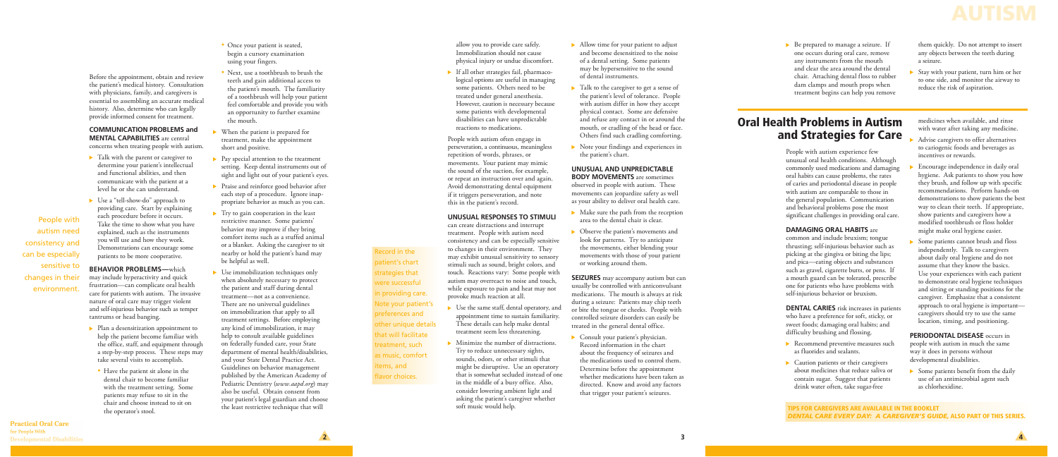

Be prepared to manage a seizure. If one occurs during oral care, remove any instruments from the mouth and clear the area around the dental chair. Attaching dental floss to rubber dam clamps and mouth props when treatment begins can help you remove

them quickly. Do not attempt to insert any objects between the teeth during a seizure.

Stay with your patient, turn him or her to one side, and monitor the airway to reduce the risk of aspiration.

## oral Health problems in Autism and Strategies for Care

People with autism experience few unusual oral health conditions. Although commonly used medications and damaging oral habits can cause problems, the rates of caries and periodontal disease in people with autism are comparable to those in the general population. Communication and behavioral problems pose the most significant challenges in providing oral care.

#### **Damaging oral habits** are

common and include bruxism; tongue thrusting; self-injurious behavior such as picking at the gingiva or biting the lips; and pica—eating objects and substances such as gravel, cigarette butts, or pens. If a mouth guard can be tolerated, prescribe one for patients who have problems with self-injurious behavior or bruxism.

**DENTAL CARIES** risk increases in patients who have a preference for soft, sticky, or sweet foods; damaging oral habits; and difficulty brushing and flossing.

- Recommend preventive measures such as fluorides and sealants.
- Caution patients or their caregivers about medicines that reduce saliva or contain sugar. Suggest that patients drink water often, take sugar-free

medicines when available, and rinse with water after taking any medicine.

- Advise caregivers to offer alternatives to cariogenic foods and beverages as incentives or rewards.
- Encourage independence in daily oral hygiene. Ask patients to show you how they brush, and follow up with specific recommendations. Perform hands-on demonstrations to show patients the best way to clean their teeth. If appropriate, show patients and caregivers how a modified toothbrush or floss holder might make oral hygiene easier.
- Some patients cannot brush and floss independently. Talk to caregivers about daily oral hygiene and do not assume that they know the basics. Use your experiences with each patient to demonstrate oral hygiene techniques and sitting or standing positions for the caregiver. Emphasize that a consistent approach to oral hygiene is important caregivers should try to use the same location, timing, and positioning.

**PERIODONTAL DISEASE** occurs in people with autism in much the same way it does in persons without developmental disabilities.

Some patients benefit from the daily  $\blacktriangleright$ use of an antimicrobial agent such as chlorhexidine.

**4**

Tips for caregivers are available in the booklet *Dental Care Every Day: A Caregiver's Guide,* also part of this series.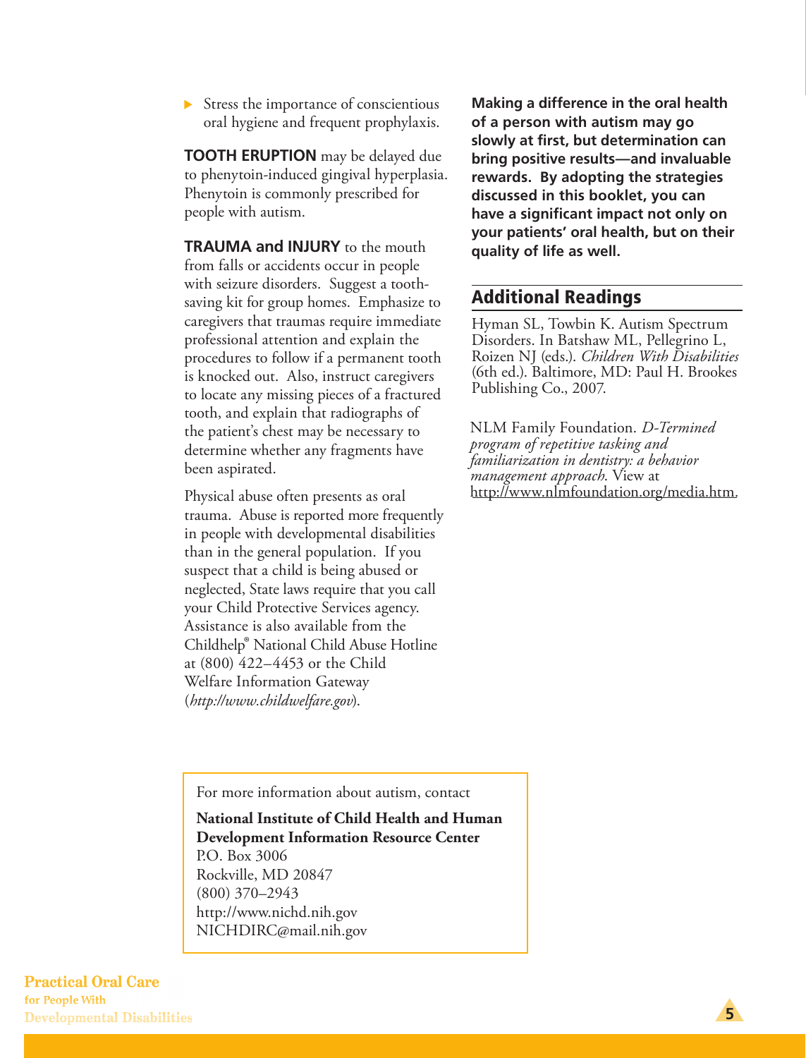Stress the importance of conscientious oral hygiene and frequent prophylaxis.

**TOOTH ERUPTION** may be delayed due to phenytoin-induced gingival hyperplasia. Phenytoin is commonly prescribed for people with autism.

**TRAUMA and INJURY** to the mouth from falls or accidents occur in people with seizure disorders. Suggest a toothsaving kit for group homes. Emphasize to caregivers that traumas require immediate professional attention and explain the procedures to follow if a permanent tooth is knocked out. Also, instruct caregivers to locate any missing pieces of a fractured tooth, and explain that radiographs of the patient's chest may be necessary to determine whether any fragments have been aspirated.

Physical abuse often presents as oral trauma. Abuse is reported more frequently in people with developmental disabilities than in the general population. If you suspect that a child is being abused or neglected, State laws require that you call your Child Protective Services agency. Assistance is also available from the Childhelp® National Child Abuse Hotline at (800) 422–4453 or the Child Welfare Information Gateway (*http://www.childwelfare.gov*).

**Making a difference in the oral health of a person with autism may go slowly at first, but determination can bring positive results—and invaluable rewards. By adopting the strategies discussed in this booklet, you can have a significant impact not only on your patients' oral health, but on their quality of life as well.**

### Additional Readings

Hyman SL, Towbin K. Autism Spectrum Disorders. In Batshaw ML, Pellegrino L, Roizen NJ (eds.). *Children With Disabilities* (6th ed.). Baltimore, MD: Paul H. Brookes Publishing Co., 2007.

NLM Family Foundation. *D-Termined program of repetitive tasking and familiarization in dentistry: a behavior management approach*. View at http://www.nlmfoundation.org/media.htm.

For more information about autism, contact

### **National Institute of Child Health and Human Development Information Resource Center** P.O. Box 3006 Rockville, MD 20847 (800) 370–2943 http://www.nichd.nih.gov NICHDIRC@mail.nih.gov

**Practical Oral Care** for People With **Developmental Disabilities**